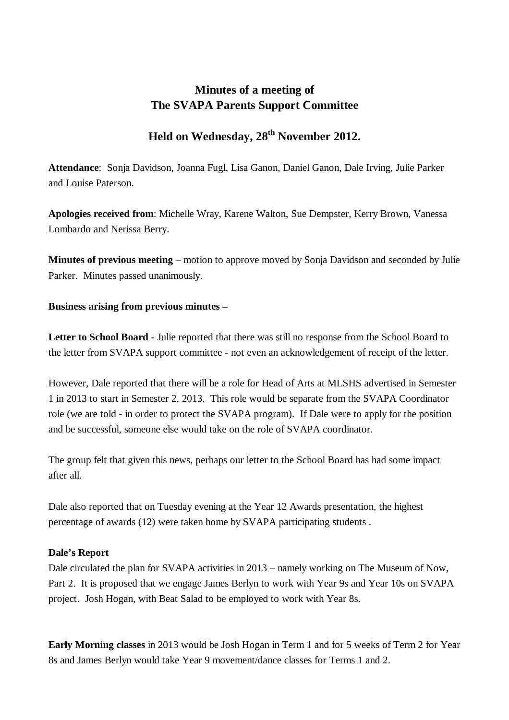# **Minutes of a meeting of The SVAPA Parents Support Committee**

# Held on Wednesday, 28<sup>th</sup> November 2012.

**Attendance**: Sonja Davidson, Joanna Fugl, Lisa Ganon, Daniel Ganon, Dale Irving, Julie Parker and Louise Paterson.

**Apologies received from**: Michelle Wray, Karene Walton, Sue Dempster, Kerry Brown, Vanessa Lombardo and Nerissa Berry.

**Minutes of previous meeting** – motion to approve moved by Sonja Davidson and seconded by Julie Parker. Minutes passed unanimously.

### **Business arising from previous minutes –**

**Letter to School Board** - Julie reported that there was still no response from the School Board to the letter from SVAPA support committee - not even an acknowledgement of receipt of the letter.

However, Dale reported that there will be a role for Head of Arts at MLSHS advertised in Semester 1 in 2013 to start in Semester 2, 2013. This role would be separate from the SVAPA Coordinator role (we are told - in order to protect the SVAPA program). If Dale were to apply for the position and be successful, someone else would take on the role of SVAPA coordinator.

The group felt that given this news, perhaps our letter to the School Board has had some impact after all.

Dale also reported that on Tuesday evening at the Year 12 Awards presentation, the highest percentage of awards (12) were taken home by SVAPA participating students .

### **Dale's Report**

Dale circulated the plan for SVAPA activities in 2013 – namely working on The Museum of Now, Part 2. It is proposed that we engage James Berlyn to work with Year 9s and Year 10s on SVAPA project. Josh Hogan, with Beat Salad to be employed to work with Year 8s.

**Early Morning classes** in 2013 would be Josh Hogan in Term 1 and for 5 weeks of Term 2 for Year 8s and James Berlyn would take Year 9 movement/dance classes for Terms 1 and 2.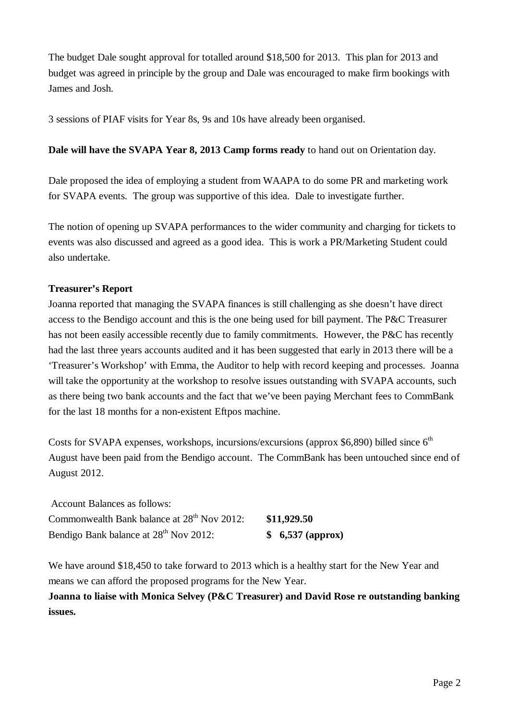The budget Dale sought approval for totalled around \$18,500 for 2013. This plan for 2013 and budget was agreed in principle by the group and Dale was encouraged to make firm bookings with James and Josh.

3 sessions of PIAF visits for Year 8s, 9s and 10s have already been organised.

## **Dale will have the SVAPA Year 8, 2013 Camp forms ready** to hand out on Orientation day.

Dale proposed the idea of employing a student from WAAPA to do some PR and marketing work for SVAPA events. The group was supportive of this idea. Dale to investigate further.

The notion of opening up SVAPA performances to the wider community and charging for tickets to events was also discussed and agreed as a good idea. This is work a PR/Marketing Student could also undertake.

## **Treasurer's Report**

Joanna reported that managing the SVAPA finances is still challenging as she doesn't have direct access to the Bendigo account and this is the one being used for bill payment. The P&C Treasurer has not been easily accessible recently due to family commitments. However, the P&C has recently had the last three years accounts audited and it has been suggested that early in 2013 there will be a 'Treasurer's Workshop' with Emma, the Auditor to help with record keeping and processes. Joanna will take the opportunity at the workshop to resolve issues outstanding with SVAPA accounts, such as there being two bank accounts and the fact that we've been paying Merchant fees to CommBank for the last 18 months for a non-existent Eftpos machine.

Costs for SVAPA expenses, workshops, incursions/excursions (approx \$6,890) billed since  $6<sup>th</sup>$ August have been paid from the Bendigo account. The CommBank has been untouched since end of August 2012.

| <b>Account Balances as follows:</b>                     | \$11,929.50      |
|---------------------------------------------------------|------------------|
| Commonwealth Bank balance at 28 <sup>th</sup> Nov 2012: |                  |
| Bendigo Bank balance at 28 <sup>th</sup> Nov 2012:      | \$6,537 (approx) |

We have around \$18,450 to take forward to 2013 which is a healthy start for the New Year and means we can afford the proposed programs for the New Year.

**Joanna to liaise with Monica Selvey (P&C Treasurer) and David Rose re outstanding banking issues.**